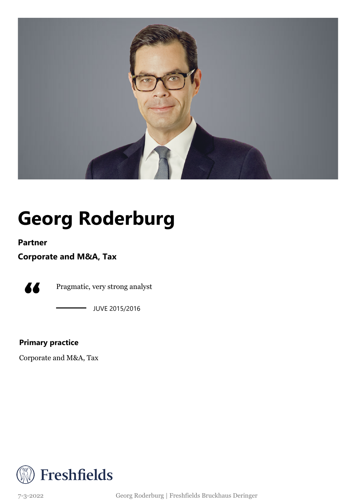

## **Georg Roderburg**

**Partner**

#### **Corporate and M&A, Tax**



Pragmatic, very strong analyst

JUVE 2015/2016

#### **Primary practice**

Corporate and M&A, Tax



7-3-2022 Georg Roderburg | Freshfields Bruckhaus Deringer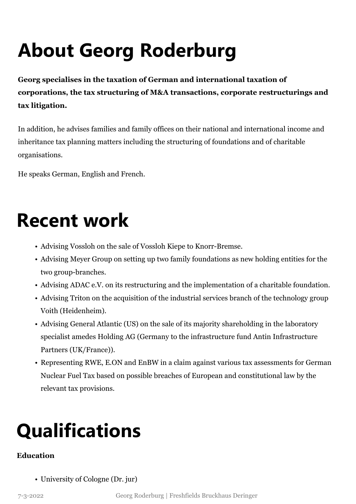# **About Georg Roderburg**

**Georg specialises in the taxation of German and international taxation of corporations, the tax structuring of M&A transactions, corporate restructurings and tax litigation.**

In addition, he advises families and family offices on their national and international income and inheritance tax planning matters including the structuring of foundations and of charitable organisations.

He speaks German, English and French.

### **Recent work**

- Advising Vossloh on the sale of Vossloh Kiepe to Knorr-Bremse.
- Advising Meyer Group on setting up two family foundations as new holding entities for the two group-branches.
- Advising ADAC e.V. on its restructuring and the implementation of a charitable foundation.
- Advising Triton on the acquisition of the industrial services branch of the technology group Voith (Heidenheim).
- Advising General Atlantic (US) on the sale of its majority shareholding in the laboratory specialist amedes Holding AG (Germany to the infrastructure fund Antin Infrastructure Partners (UK/France)).
- Representing RWE, E.ON and EnBW in a claim against various tax assessments for German Nuclear Fuel Tax based on possible breaches of European and constitutional law by the relevant tax provisions.

### **Qualifications**

#### **Education**

• University of Cologne (Dr. jur)